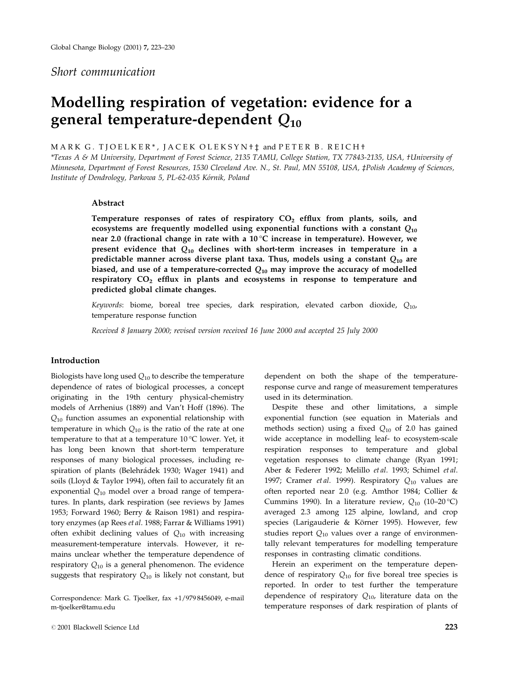## Short communication

# Modelling respiration of vegetation: evidence for a general temperature-dependent  $Q_{10}$

MARK G. TJOELKER\*, JACEK OLEKSYN+ $\ddagger$  and PETER B. REICH+

\*Texas A & M University, Department of Forest Science, 2135 TAMU, College Station, TX 77843-2135, USA, †University of Minnesota, Department of Forest Resources, 1530 Cleveland Ave. N., St. Paul, MN 55108, USA, ‡Polish Academy of Sciences, Institute of Dendrology, Parkowa 5, PL-62-035 Kórnik, Poland

## Abstract

Temperature responses of rates of respiratory  $CO<sub>2</sub>$  efflux from plants, soils, and ecosystems are frequently modelled using exponential functions with a constant  $Q_{10}$ near 2.0 (fractional change in rate with a  $10^{\circ}$ C increase in temperature). However, we present evidence that  $Q_{10}$  declines with short-term increases in temperature in a predictable manner across diverse plant taxa. Thus, models using a constant  $Q_{10}$  are biased, and use of a temperature-corrected  $Q_{10}$  may improve the accuracy of modelled respiratory  $CO<sub>2</sub>$  efflux in plants and ecosystems in response to temperature and predicted global climate changes.

Keywords: biome, boreal tree species, dark respiration, elevated carbon dioxide,  $Q_{10}$ , temperature response function

Received 8 January 2000; revised version received 16 June 2000 and accepted 25 July 2000

## Introduction

Biologists have long used  $Q_{10}$  to describe the temperature dependence of rates of biological processes, a concept originating in the 19th century physical-chemistry models of Arrhenius (1889) and Van't Hoff (1896). The  $Q_{10}$  function assumes an exponential relationship with temperature in which  $Q_{10}$  is the ratio of the rate at one temperature to that at a temperature 10 °C lower. Yet, it has long been known that short-term temperature responses of many biological processes, including respiration of plants (Belehrádek 1930; Wager 1941) and soils (Lloyd & Taylor 1994), often fail to accurately fit an exponential  $Q_{10}$  model over a broad range of temperatures. In plants, dark respiration (see reviews by James 1953; Forward 1960; Berry & Raison 1981) and respiratory enzymes (ap Rees et al. 1988; Farrar & Williams 1991) often exhibit declining values of  $Q_{10}$  with increasing measurement-temperature intervals. However, it remains unclear whether the temperature dependence of respiratory  $Q_{10}$  is a general phenomenon. The evidence suggests that respiratory  $Q_{10}$  is likely not constant, but

Correspondence: Mark G. Tjoelker, fax +1/979 8456049, e-mail m-tjoelker@tamu.edu

dependent on both the shape of the temperatureresponse curve and range of measurement temperatures used in its determination.

Despite these and other limitations, a simple exponential function (see equation in Materials and methods section) using a fixed  $Q_{10}$  of 2.0 has gained wide acceptance in modelling leaf- to ecosystem-scale respiration responses to temperature and global vegetation responses to climate change (Ryan 1991; Aber & Federer 1992; Melillo et al. 1993; Schimel et al. 1997; Cramer *et al.* 1999). Respiratory  $Q_{10}$  values are often reported near 2.0 (e.g. Amthor 1984; Collier & Cummins 1990). In a literature review,  $Q_{10}$  (10-20 °C) averaged 2.3 among 125 alpine, lowland, and crop species (Larigauderie & Körner 1995). However, few studies report  $Q_{10}$  values over a range of environmentally relevant temperatures for modelling temperature responses in contrasting climatic conditions.

Herein an experiment on the temperature dependence of respiratory  $Q_{10}$  for five boreal tree species is reported. In order to test further the temperature dependence of respiratory  $Q_{10}$ , literature data on the temperature responses of dark respiration of plants of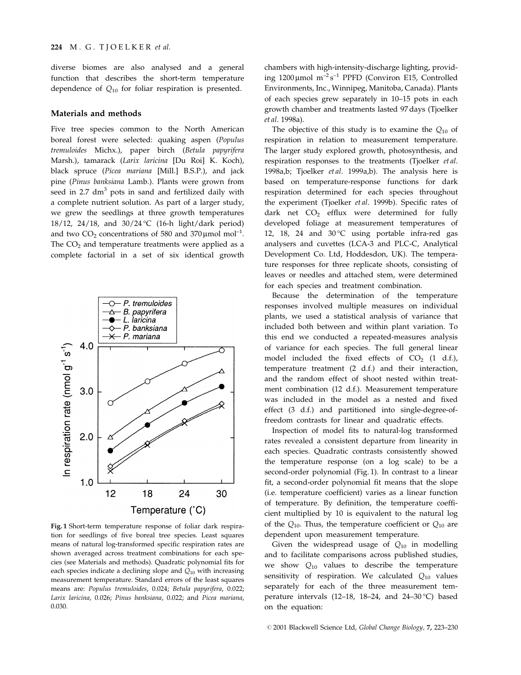diverse biomes are also analysed and a general function that describes the short-term temperature dependence of  $Q_{10}$  for foliar respiration is presented.

#### Materials and methods

Five tree species common to the North American boreal forest were selected: quaking aspen (Populus tremuloides Michx.), paper birch (Betula papyrifera Marsh.), tamarack (Larix laricina [Du Roi] K. Koch), black spruce (Picea mariana [Mill.] B.S.P.), and jack pine (Pinus banksiana Lamb.). Plants were grown from seed in  $2.7 \text{ dm}^3$  pots in sand and fertilized daily with a complete nutrient solution. As part of a larger study, we grew the seedlings at three growth temperatures 18/12, 24/18, and 30/24 °C (16-h light/dark period) and two  $CO_2$  concentrations of 580 and 370 µmol mol<sup>-1</sup>. The  $CO<sub>2</sub>$  and temperature treatments were applied as a complete factorial in a set of six identical growth



Fig. 1 Short-term temperature response of foliar dark respiration for seedlings of five boreal tree species. Least squares means of natural log-transformed specific respiration rates are shown averaged across treatment combinations for each species (see Materials and methods). Quadratic polynomial fits for each species indicate a declining slope and  $Q_{10}$  with increasing measurement temperature. Standard errors of the least squares means are: Populus tremuloides, 0.024; Betula papyrifera, 0.022; Larix laricina, 0.026; Pinus banksiana, 0.022; and Picea mariana, 0.030.

chambers with high-intensity-discharge lighting, providing  $1200 \,\mu$ mol m<sup>-2</sup>s<sup>-1</sup> PPFD (Conviron E15, Controlled Environments, Inc., Winnipeg, Manitoba, Canada). Plants of each species grew separately in 10-15 pots in each growth chamber and treatments lasted 97 days (Tjoelker et al. 1998a).

The objective of this study is to examine the  $Q_{10}$  of respiration in relation to measurement temperature. The larger study explored growth, photosynthesis, and respiration responses to the treatments (Tjoelker et al. 1998a,b; Tjoelker et al. 1999a,b). The analysis here is based on temperature-response functions for dark respiration determined for each species throughout the experiment (Tjoelker et al. 1999b). Specific rates of dark net  $CO<sub>2</sub>$  efflux were determined for fully developed foliage at measurement temperatures of 12, 18, 24 and 30 $\degree$ C using portable infra-red gas analysers and cuvettes (LCA-3 and PLC-C, Analytical Development Co. Ltd, Hoddesdon, UK). The temperature responses for three replicate shoots, consisting of leaves or needles and attached stem, were determined for each species and treatment combination.

Because the determination of the temperature responses involved multiple measures on individual plants, we used a statistical analysis of variance that included both between and within plant variation. To this end we conducted a repeated-measures analysis of variance for each species. The full general linear model included the fixed effects of  $CO<sub>2</sub>$  (1 d.f.), temperature treatment (2 d.f.) and their interaction, and the random effect of shoot nested within treatment combination (12 d.f.). Measurement temperature was included in the model as a nested and fixed effect (3 d.f.) and partitioned into single-degree-offreedom contrasts for linear and quadratic effects.

Inspection of model fits to natural-log transformed rates revealed a consistent departure from linearity in each species. Quadratic contrasts consistently showed the temperature response (on a log scale) to be a second-order polynomial (Fig. 1). In contrast to a linear fit, a second-order polynomial fit means that the slope (i.e. temperature coefficient) varies as a linear function of temperature. By definition, the temperature coefficient multiplied by 10 is equivalent to the natural log of the  $Q_{10}$ . Thus, the temperature coefficient or  $Q_{10}$  are dependent upon measurement temperature.

Given the widespread usage of  $Q_{10}$  in modelling and to facilitate comparisons across published studies, we show  $Q_{10}$  values to describe the temperature sensitivity of respiration. We calculated  $Q_{10}$  values separately for each of the three measurement temperature intervals (12-18, 18-24, and 24-30 °C) based on the equation: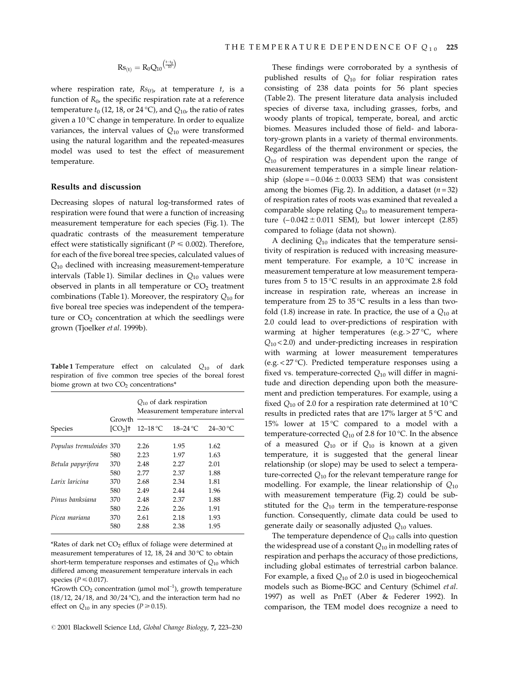$$
Rs_{(t)}=R_0Q_{10}^{\left(\frac{t-t_0}{10}\right)}
$$

where respiration rate,  $Rs_{(t)}$ , at temperature t, is a function of  $R_0$ , the specific respiration rate at a reference temperature  $t_0$  (12, 18, or 24 °C), and  $Q_{10}$ , the ratio of rates given a 10 °C change in temperature. In order to equalize variances, the interval values of  $Q_{10}$  were transformed using the natural logarithm and the repeated-measures model was used to test the effect of measurement temperature.

## Results and discussion

Decreasing slopes of natural log-transformed rates of respiration were found that were a function of increasing measurement temperature for each species (Fig. 1). The quadratic contrasts of the measurement temperature effect were statistically significant ( $P \le 0.002$ ). Therefore, for each of the five boreal tree species, calculated values of  $Q_{10}$  declined with increasing measurement-temperature intervals (Table 1). Similar declines in  $Q_{10}$  values were observed in plants in all temperature or  $CO<sub>2</sub>$  treatment combinations (Table 1). Moreover, the respiratory  $Q_{10}$  for five boreal tree species was independent of the temperature or  $CO<sub>2</sub>$  concentration at which the seedlings were grown (Tjoelker et al. 1999b).

**Table 1** Temperature effect on calculated  $Q_{10}$  of dark respiration of five common tree species of the boreal forest biome grown at two  $CO<sub>2</sub>$  concentrations\*

|                         | Growth<br>[CO <sub>2</sub> ] | $Q_{10}$ of dark respiration<br>Measurement temperature interval |               |              |  |  |  |
|-------------------------|------------------------------|------------------------------------------------------------------|---------------|--------------|--|--|--|
| Species                 |                              | $12 - 18$ °C                                                     | $18 - 24$ °C. | $24 - 30$ °C |  |  |  |
| Populus tremuloides 370 |                              | 2.26                                                             | 1.95          | 1.62         |  |  |  |
|                         | 580                          | 2.23                                                             | 1.97          | 1.63         |  |  |  |
| Betula papyrifera       | 370                          | 2.48                                                             | 2.27          | 2.01         |  |  |  |
|                         | 580                          | 2.77                                                             | 2.37          | 1.88         |  |  |  |
| Larix laricina          | 370                          | 2.68                                                             | 2.34          | 1.81         |  |  |  |
|                         | 580                          | 2.49                                                             | 2.44          | 1.96         |  |  |  |
| Pinus banksiana         | 370                          | 2.48                                                             | 2.37          | 1.88         |  |  |  |
|                         | 580                          | 2.26                                                             | 2.26          | 1.91         |  |  |  |
| Picea mariana           | 370                          | 2.61                                                             | 2.18          | 1.93         |  |  |  |
|                         | 580                          | 2.88                                                             | 2.38          | 1.95         |  |  |  |

 $*$ Rates of dark net  $CO<sub>2</sub>$  efflux of foliage were determined at measurement temperatures of 12, 18, 24 and 30 °C to obtain short-term temperature responses and estimates of  $Q_{10}$  which differed among measurement temperature intervals in each species ( $P \le 0.017$ ).

 $t$ Growth CO<sub>2</sub> concentration ( $\mu$ mol mol<sup>-1</sup>), growth temperature  $(18/12, 24/18,$  and  $30/24$  °C), and the interaction term had no effect on  $Q_{10}$  in any species ( $P \ge 0.15$ ).

These findings were corroborated by a synthesis of published results of  $Q_{10}$  for foliar respiration rates consisting of 238 data points for 56 plant species (Table 2). The present literature data analysis included species of diverse taxa, including grasses, forbs, and woody plants of tropical, temperate, boreal, and arctic biomes. Measures included those of field- and laboratory-grown plants in a variety of thermal environments. Regardless of the thermal environment or species, the  $Q_{10}$  of respiration was dependent upon the range of measurement temperatures in a simple linear relationship (slope =  $-0.046 \pm 0.0033$  SEM) that was consistent among the biomes (Fig. 2). In addition, a dataset ( $n = 32$ ) of respiration rates of roots was examined that revealed a comparable slope relating  $Q_{10}$  to measurement temperature  $(-0.042 \pm 0.011$  SEM), but lower intercept  $(2.85)$ compared to foliage (data not shown).

A declining  $Q_{10}$  indicates that the temperature sensitivity of respiration is reduced with increasing measurement temperature. For example, a 10 °C increase in measurement temperature at low measurement temperatures from 5 to 15 °C results in an approximate 2.8 fold increase in respiration rate, whereas an increase in temperature from 25 to 35 °C results in a less than twofold (1.8) increase in rate. In practice, the use of a  $Q_{10}$  at 2.0 could lead to over-predictions of respiration with warming at higher temperatures (e.g. >  $27^{\circ}$ C, where  $Q_{10}$  < 2.0) and under-predicting increases in respiration with warming at lower measurement temperatures (e.g. < 27 °C). Predicted temperature responses using a fixed vs. temperature-corrected  $Q_{10}$  will differ in magnitude and direction depending upon both the measurement and prediction temperatures. For example, using a fixed  $Q_{10}$  of 2.0 for a respiration rate determined at 10 °C results in predicted rates that are 17% larger at 5 °C and 15% lower at 15 °C compared to a model with a temperature-corrected  $Q_{10}$  of 2.8 for 10 °C. In the absence of a measured  $Q_{10}$  or if  $Q_{10}$  is known at a given temperature, it is suggested that the general linear relationship (or slope) may be used to select a temperature-corrected  $Q_{10}$  for the relevant temperature range for modelling. For example, the linear relationship of  $Q_{10}$ with measurement temperature (Fig. 2) could be substituted for the  $Q_{10}$  term in the temperature-response function. Consequently, climate data could be used to generate daily or seasonally adjusted  $Q_{10}$  values.

The temperature dependence of  $Q_{10}$  calls into question the widespread use of a constant  $Q_{10}$  in modelling rates of respiration and perhaps the accuracy of those predictions, including global estimates of terrestrial carbon balance. For example, a fixed  $Q_{10}$  of 2.0 is used in biogeochemical models such as Biome-BGC and Century (Schimel et al. 1997) as well as PnET (Aber & Federer 1992). In comparison, the TEM model does recognize a need to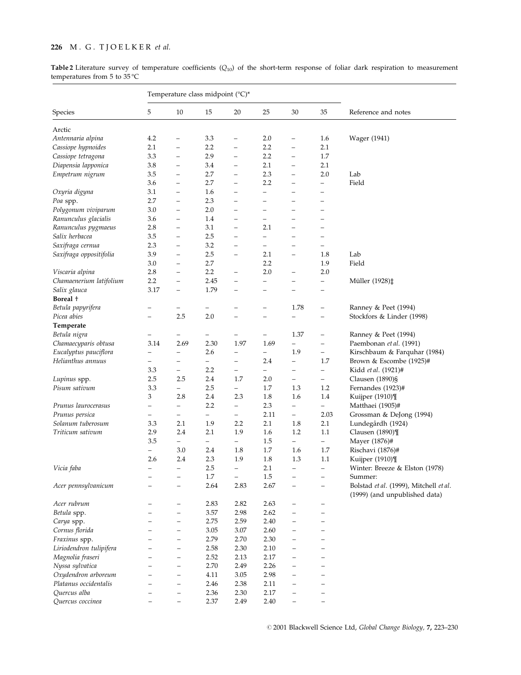## 226 M. G. TJOELKER et al.

Table 2 Literature survey of temperature coefficients  $(Q_{10})$  of the short-term response of foliar dark respiration to measurement temperatures from 5 to 35 °C

|                         | Temperature class midpoint (°C)* |                          |                          |                          |                          |                          |                          |                                                                         |
|-------------------------|----------------------------------|--------------------------|--------------------------|--------------------------|--------------------------|--------------------------|--------------------------|-------------------------------------------------------------------------|
| Species                 | 5                                | 10                       | 15                       | 20                       | 25                       | 30                       | 35                       | Reference and notes                                                     |
| Arctic                  |                                  |                          |                          |                          |                          |                          |                          |                                                                         |
| Antennaria alpina       | 4.2                              | $\overline{\phantom{0}}$ | 3.3                      | $\overline{\phantom{0}}$ | 2.0                      | $\qquad \qquad -$        | 1.6                      | Wager (1941)                                                            |
| Cassiope hypnoides      | 2.1                              | $\overline{\phantom{0}}$ | 2.2                      | $\qquad \qquad -$        | 2.2                      | $\qquad \qquad -$        | 2.1                      |                                                                         |
| Cassiope tetragona      | 3.3                              | $\overline{\phantom{0}}$ | 2.9                      | $\overline{\phantom{0}}$ | 2.2                      | $\qquad \qquad -$        | 1.7                      |                                                                         |
| Diapensia lapponica     | 3.8                              | $\overline{\phantom{0}}$ | 3.4                      | $\overline{\phantom{0}}$ | 2.1                      | $\overline{\phantom{0}}$ | 2.1                      |                                                                         |
| Empetrum nigrum         | 3.5                              | $\overline{\phantom{0}}$ | 2.7                      | $\qquad \qquad -$        | 2.3                      | $\overline{\phantom{0}}$ | 2.0                      | Lab                                                                     |
|                         | 3.6                              | $\overline{\phantom{0}}$ | 2.7                      | $\qquad \qquad -$        | 2.2                      | $\qquad \qquad -$        | $\overline{\phantom{0}}$ | Field                                                                   |
| Oxyria digyna           | 3.1                              | $\overline{\phantom{0}}$ | 1.6                      | $\overline{\phantom{0}}$ | -                        |                          |                          |                                                                         |
| Poa spp.                | 2.7                              | $\overline{\phantom{0}}$ | 2.3                      | $\overline{\phantom{0}}$ | L,                       | $\overline{\phantom{0}}$ | $\overline{\phantom{0}}$ |                                                                         |
| Polygonum viviparum     | 3.0                              | $\equiv$                 | 2.0                      | $\overline{\phantom{0}}$ | $\overline{\phantom{0}}$ | $\overline{\phantom{0}}$ | $\overline{\phantom{0}}$ |                                                                         |
| Ranunculus glacialis    | 3.6                              | $\qquad \qquad -$        | 1.4                      | $\overline{\phantom{0}}$ | $\overline{\phantom{0}}$ | $\overline{\phantom{0}}$ | -                        |                                                                         |
| Ranunculus pygmaeus     | 2.8                              | $\qquad \qquad -$        | 3.1                      | $\overline{\phantom{0}}$ | 2.1                      | $\overline{\phantom{0}}$ |                          |                                                                         |
| Salix herbacea          | 3.5                              | -                        | 2.5                      | $\overline{\phantom{0}}$ | $\overline{\phantom{0}}$ |                          | -                        |                                                                         |
| Saxifraga cernua        | 2.3                              | $\qquad \qquad -$        | 3.2                      | $\overline{\phantom{0}}$ | $\overline{\phantom{0}}$ | $\overline{\phantom{0}}$ | $\overline{\phantom{0}}$ |                                                                         |
| Saxifraga oppositifolia | 3.9                              | $\qquad \qquad -$        | 2.5                      | $\overline{\phantom{m}}$ | 2.1                      | $\qquad \qquad -$        | 1.8                      | Lab                                                                     |
|                         | 3.0                              |                          | 2.7                      |                          | 2.2                      |                          | 1.9                      | Field                                                                   |
| Viscaria alpina         | 2.8                              | $\overline{\phantom{0}}$ | 2.2                      | $\qquad \qquad -$        | 2.0                      | $\qquad \qquad -$        | 2.0                      |                                                                         |
| Chamaenerium latifolium | 2.2                              | $\qquad \qquad -$        | 2.45                     | $\qquad \qquad -$        | $\overline{\phantom{0}}$ | $\overline{\phantom{0}}$ | $\overline{\phantom{0}}$ | Müller (1928)‡                                                          |
| Salix glauca            | 3.17                             | $\qquad \qquad -$        | 1.79                     | $\overline{\phantom{0}}$ | -                        |                          |                          |                                                                         |
| Boreal +                |                                  |                          |                          |                          |                          |                          |                          |                                                                         |
| Betula papyrifera       |                                  | -                        |                          |                          |                          | 1.78                     | $\overline{\phantom{0}}$ | Ranney & Peet (1994)                                                    |
| Picea abies             | $\overline{\phantom{0}}$         | 2.5                      | 2.0                      | -                        | $\overline{\phantom{0}}$ | $\qquad \qquad -$        | $\overline{\phantom{0}}$ | Stockfors & Linder (1998)                                               |
| Temperate               |                                  |                          |                          |                          |                          |                          |                          |                                                                         |
| Betula nigra            |                                  | -                        | -                        | -                        | -                        | 1.37                     | -                        | Ranney & Peet (1994)                                                    |
| Chamaecyparis obtusa    | 3.14                             | 2.69                     | 2.30                     | 1.97                     | 1.69                     | $\qquad \qquad -$        | $\qquad \qquad -$        | Paembonan et al. (1991)                                                 |
| Eucalyptus pauciflora   | $\overline{\phantom{0}}$         | —                        | 2.6                      | —                        | —                        | 1.9                      | $\qquad \qquad -$        | Kirschbaum & Farquhar (1984)                                            |
| Helianthus annuus       | -                                | —                        | $\overline{\phantom{0}}$ | -                        | 2.4                      | $\overline{\phantom{a}}$ | 1.7                      | Brown & Escombe (1925)#                                                 |
|                         | 3.3                              | $\qquad \qquad -$        | 2.2                      | $\overline{\phantom{0}}$ | $\qquad \qquad -$        | $\qquad \qquad -$        | $\qquad \qquad -$        | Kidd et al. (1921)#                                                     |
| Lupinus spp.            | 2.5                              | 2.5                      | 2.4                      | 1.7                      | 2.0                      | $\qquad \qquad -$        | $\overline{\phantom{0}}$ | Clausen (1890)§                                                         |
| Pisum sativum           | 3.3                              | $\overline{\phantom{0}}$ | 2.5                      | $\qquad \qquad -$        | 1.7                      | 1.3                      | 1.2                      | Fernandes (1923)#                                                       |
|                         | 3                                | 2.8                      | 2.4                      | 2.3                      | 1.8                      | 1.6                      | 1.4                      | Kuijper (1910)¶                                                         |
| Prunus laurocerasus     | -                                | $\qquad \qquad -$        | 2.2                      | $\overline{\phantom{0}}$ | 2.3                      | $\qquad \qquad -$        | -                        | Matthaei (1905)#                                                        |
| Prunus persica          | $\qquad \qquad -$                | $\qquad \qquad -$        | $\overline{\phantom{a}}$ | $\overline{\phantom{0}}$ | 2.11                     | $\overline{\phantom{0}}$ | 2.03                     | Grossman & DeJong (1994)                                                |
| Solanum tuberosum       | 3.3                              | 2.1                      | 1.9                      | 2.2                      | 2.1                      | 1.8                      | 2.1                      | Lundegårdh (1924)                                                       |
| Triticum sativum        | 2.9                              | 2.4                      | 2.1                      | 1.9                      | 1.6                      | 1.2                      | 1.1                      | Clausen (1890)¶                                                         |
|                         | 3.5                              | $\overline{\phantom{0}}$ | $\qquad \qquad -$        | $\overline{\phantom{0}}$ | 1.5                      | $-$                      | $\overline{\phantom{0}}$ | Mayer (1876)#                                                           |
|                         | $\qquad \qquad -$                | 3.0                      | 2.4                      | 1.8                      | 1.7                      | 1.6                      | 1.7                      | Rischavi (1876)#                                                        |
|                         | 2.6                              | 2.4                      | 2.3                      | 1.9                      | 1.8                      | 1.3                      | 1.1                      | Kuijper (1910)¶                                                         |
| Vicia faba              | $\equiv$                         | $\overline{\phantom{0}}$ | 2.5                      | $\qquad \qquad -$        | 2.1                      | $\overline{\phantom{m}}$ | $\overline{\phantom{0}}$ | Winter: Breeze & Elston (1978)                                          |
|                         |                                  |                          | $1.7\,$                  | $\overline{\phantom{0}}$ | $1.5\,$                  |                          |                          | Summer:                                                                 |
| Acer pennsylvanicum     |                                  | $\overline{\phantom{0}}$ | 2.64                     | 2.83                     | 2.67                     |                          |                          | Bolstad et al. (1999), Mitchell et al.<br>(1999) (and unpublished data) |
| Acer rubrum             |                                  | $\overline{\phantom{0}}$ | 2.83                     | 2.82                     | 2.63                     |                          |                          |                                                                         |
| Betula spp.             |                                  | $\qquad \qquad -$        | 3.57                     | 2.98                     | 2.62                     |                          | $\overline{\phantom{0}}$ |                                                                         |
| Carya spp.              |                                  | -                        | 2.75                     | 2.59                     | 2.40                     |                          |                          |                                                                         |
| Cornus florida          |                                  | -                        | 3.05                     | 3.07                     | 2.60                     |                          |                          |                                                                         |
| Fraxinus spp.           |                                  | $\overline{\phantom{0}}$ | 2.79                     | 2.70                     | 2.30                     |                          |                          |                                                                         |
| Liriodendron tulipifera |                                  |                          | 2.58                     | 2.30                     | 2.10                     |                          |                          |                                                                         |
| Magnolia fraseri        |                                  | $\overline{\phantom{0}}$ | 2.52                     | 2.13                     | 2.17                     | $\qquad \qquad -$        |                          |                                                                         |
| Nyssa sylvatica         |                                  | $\overline{\phantom{0}}$ | 2.70                     | 2.49                     | 2.26                     | $\overline{\phantom{0}}$ |                          |                                                                         |
| Oxydendron arboreum     |                                  | $\overline{\phantom{0}}$ | 4.11                     | 3.05                     | 2.98                     |                          |                          |                                                                         |
| Platanus occidentalis   |                                  | $\overline{\phantom{0}}$ | 2.46                     | 2.38                     | 2.11                     | $\qquad \qquad -$        | L,                       |                                                                         |
| Quercus alba            |                                  | $\overline{\phantom{0}}$ | 2.36                     | 2.30                     | 2.17                     | $\overline{\phantom{0}}$ |                          |                                                                         |
| Quercus coccinea        | -                                | -                        | 2.37                     | 2.49                     | 2.40                     | $\qquad \qquad -$        | -                        |                                                                         |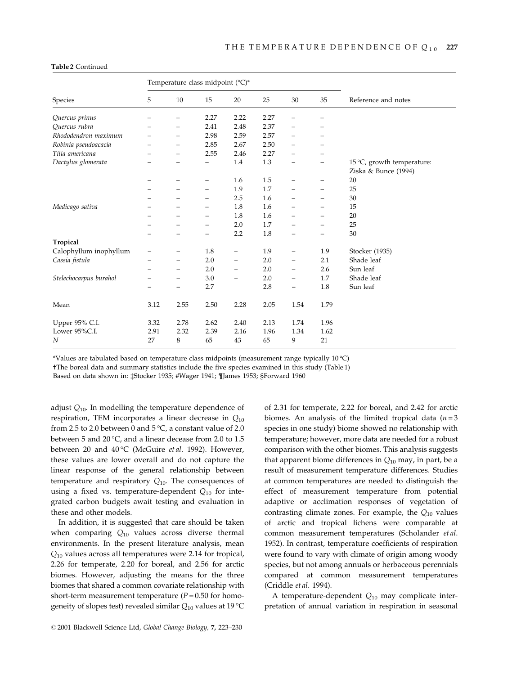|                        | Temperature class midpoint (°C)* |                          |                          |      |      |                                |                   |                                                    |
|------------------------|----------------------------------|--------------------------|--------------------------|------|------|--------------------------------|-------------------|----------------------------------------------------|
| Species                | 5                                | 10                       | 15                       | 20   | 25   | 30                             | 35                | Reference and notes                                |
| Quercus prinus         |                                  |                          | 2.27                     | 2.22 | 2.27 |                                |                   |                                                    |
| Quercus rubra          |                                  | -                        | 2.41                     | 2.48 | 2.37 | $\qquad \qquad -$              |                   |                                                    |
| Rhododendron maximum   |                                  | -                        | 2.98                     | 2.59 | 2.57 | $\overline{\phantom{0}}$       |                   |                                                    |
| Robinia pseudoacacia   |                                  | -                        | 2.85                     | 2.67 | 2.50 | $\overline{\phantom{0}}$       |                   |                                                    |
| Tilia americana        |                                  | -                        | 2.55                     | 2.46 | 2.27 | $\qquad \qquad -$              |                   |                                                    |
| Dactylus glomerata     |                                  |                          | $\overline{\phantom{m}}$ | 1.4  | 1.3  |                                |                   | 15 °C, growth temperature:<br>Ziska & Bunce (1994) |
|                        |                                  | -                        | $\qquad \qquad -$        | 1.6  | 1.5  | $\qquad \qquad -$              |                   | 20                                                 |
|                        |                                  | -                        |                          | 1.9  | 1.7  | $\qquad \qquad -$              | -                 | 25                                                 |
|                        |                                  |                          |                          | 2.5  | 1.6  | $\qquad \qquad \longleftarrow$ | -                 | 30                                                 |
| Medicago sativa        |                                  | -                        | $\overline{\phantom{m}}$ | 1.8  | 1.6  | $\overline{\phantom{m}}$       | -                 | 15                                                 |
|                        |                                  |                          |                          | 1.8  | 1.6  |                                | -                 | 20                                                 |
|                        |                                  |                          |                          | 2.0  | 1.7  | $\qquad \qquad -$              | -                 | 25                                                 |
|                        |                                  |                          |                          | 2.2  | 1.8  |                                | $\qquad \qquad -$ | 30                                                 |
| Tropical               |                                  |                          |                          |      |      |                                |                   |                                                    |
| Calophyllum inophyllum | -                                | -                        | 1.8                      | —    | 1.9  | $\overline{\phantom{0}}$       | 1.9               | Stocker (1935)                                     |
| Cassia fistula         |                                  | -                        | 2.0                      | -    | 2.0  | $\overline{\phantom{m}}$       | 2.1               | Shade leaf                                         |
|                        |                                  | -                        | 2.0                      | -    | 2.0  | $\qquad \qquad -$              | 2.6               | Sun leaf                                           |
| Stelechocarpus burahol |                                  | -                        | 3.0                      | -    | 2.0  | $\overline{\phantom{m}}$       | 1.7               | Shade leaf                                         |
|                        | $\overline{\phantom{0}}$         | $\overline{\phantom{0}}$ | 2.7                      |      | 2.8  | $\overline{\phantom{m}}$       | 1.8               | Sun leaf                                           |
| Mean                   | 3.12                             | 2.55                     | 2.50                     | 2.28 | 2.05 | 1.54                           | 1.79              |                                                    |
| Upper 95% C.I.         | 3.32                             | 2.78                     | 2.62                     | 2.40 | 2.13 | 1.74                           | 1.96              |                                                    |
| Lower 95%C.I.          | 2.91                             | 2.32                     | 2.39                     | 2.16 | 1.96 | 1.34                           | 1.62              |                                                    |
| N                      | 27                               | 8                        | 65                       | 43   | 65   | 9                              | 21                |                                                    |

#### Table 2 Continued

\*Values are tabulated based on temperature class midpoints (measurement range typically 10 °C)

 $t$ The boreal data and summary statistics include the five species examined in this study (Table 1)

Based on data shown in: ‡Stocker 1935; #Wager 1941; ¶James 1953; §Forward 1960

adjust  $Q_{10}$ . In modelling the temperature dependence of respiration, TEM incorporates a linear decrease in  $Q_{10}$ from 2.5 to 2.0 between 0 and  $5^{\circ}$ C, a constant value of 2.0 between 5 and 20 °C, and a linear decease from 2.0 to 1.5 between 20 and 40°C (McGuire et al. 1992). However, these values are lower overall and do not capture the linear response of the general relationship between temperature and respiratory  $Q_{10}$ . The consequences of using a fixed vs. temperature-dependent  $Q_{10}$  for integrated carbon budgets await testing and evaluation in these and other models.

In addition, it is suggested that care should be taken when comparing  $Q_{10}$  values across diverse thermal environments. In the present literature analysis, mean  $Q_{10}$  values across all temperatures were 2.14 for tropical, 2.26 for temperate, 2.20 for boreal, and 2.56 for arctic biomes. However, adjusting the means for the three biomes that shared a common covariate relationship with short-term measurement temperature ( $P = 0.50$  for homogeneity of slopes test) revealed similar  $Q_{10}$  values at 19 °C of 2.31 for temperate, 2.22 for boreal, and 2.42 for arctic biomes. An analysis of the limited tropical data ( $n = 3$ ) species in one study) biome showed no relationship with temperature; however, more data are needed for a robust comparison with the other biomes. This analysis suggests that apparent biome differences in  $Q_{10}$  may, in part, be a result of measurement temperature differences. Studies at common temperatures are needed to distinguish the effect of measurement temperature from potential adaptive or acclimation responses of vegetation of contrasting climate zones. For example, the  $Q_{10}$  values of arctic and tropical lichens were comparable at common measurement temperatures (Scholander et al. 1952). In contrast, temperature coefficients of respiration were found to vary with climate of origin among woody species, but not among annuals or herbaceous perennials compared at common measurement temperatures (Criddle et al. 1994).

A temperature-dependent  $Q_{10}$  may complicate interpretation of annual variation in respiration in seasonal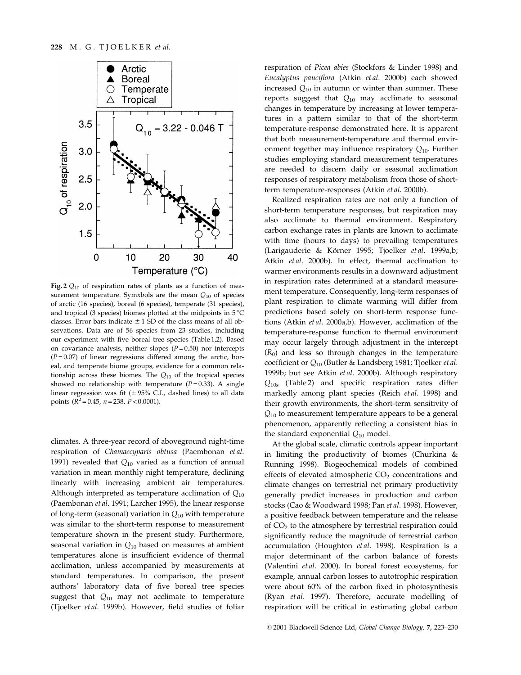

Fig. 2  $Q_{10}$  of respiration rates of plants as a function of measurement temperature. Symxbols are the mean  $Q_{10}$  of species of arctic (16 species), boreal (6 species), temperate (31 species), and tropical (3 species) biomes plotted at the midpoints in 5 °C classes. Error bars indicate  $\pm$  1 SD of the class means of all observations. Data are of 56 species from 23 studies, including our experiment with five boreal tree species (Table 1,2). Based on covariance analysis, neither slopes  $(P = 0.50)$  nor intercepts  $(P = 0.07)$  of linear regressions differed among the arctic, boreal, and temperate biome groups, evidence for a common relationship across these biomes. The  $Q_{10}$  of the tropical species showed no relationship with temperature  $(P=0.33)$ . A single linear regression was fit ( $\pm$  95% C.I., dashed lines) to all data points  $(R^2 = 0.45, n = 238, P < 0.0001)$ .

climates. A three-year record of aboveground night-time respiration of Chamaecyparis obtusa (Paembonan et al. 1991) revealed that  $Q_{10}$  varied as a function of annual variation in mean monthly night temperature, declining linearly with increasing ambient air temperatures. Although interpreted as temperature acclimation of  $Q_{10}$ (Paembonan et al. 1991; Larcher 1995), the linear response of long-term (seasonal) variation in  $Q_{10}$  with temperature was similar to the short-term response to measurement temperature shown in the present study. Furthermore, seasonal variation in  $Q_{10}$  based on measures at ambient temperatures alone is insufficient evidence of thermal acclimation, unless accompanied by measurements at standard temperatures. In comparison, the present authors' laboratory data of five boreal tree species suggest that  $Q_{10}$  may not acclimate to temperature (Tjoelker et al. 1999b). However, field studies of foliar respiration of Picea abies (Stockfors & Linder 1998) and Eucalyptus pauciflora (Atkin et al. 2000b) each showed increased  $Q_{10}$  in autumn or winter than summer. These reports suggest that  $Q_{10}$  may acclimate to seasonal changes in temperature by increasing at lower temperatures in a pattern similar to that of the short-term temperature-response demonstrated here. It is apparent that both measurement-temperature and thermal environment together may influence respiratory  $Q_{10}$ . Further studies employing standard measurement temperatures are needed to discern daily or seasonal acclimation responses of respiratory metabolism from those of shortterm temperature-responses (Atkin et al. 2000b).

Realized respiration rates are not only a function of short-term temperature responses, but respiration may also acclimate to thermal environment. Respiratory carbon exchange rates in plants are known to acclimate with time (hours to days) to prevailing temperatures (Larigauderie & Körner 1995; Tjoelker et al. 1999a,b; Atkin et al. 2000b). In effect, thermal acclimation to warmer environments results in a downward adjustment in respiration rates determined at a standard measurement temperature. Consequently, long-term responses of plant respiration to climate warming will differ from predictions based solely on short-term response functions (Atkin et al. 2000a,b). However, acclimation of the temperature-response function to thermal environment may occur largely through adjustment in the intercept  $(R_0)$  and less so through changes in the temperature coefficient or  $Q_{10}$  (Butler & Landsberg 1981; Tjoelker et al. 1999b; but see Atkin et al. 2000b). Although respiratory  $Q_{10s}$  (Table 2) and specific respiration rates differ markedly among plant species (Reich et al. 1998) and their growth environments, the short-term sensitivity of  $Q_{10}$  to measurement temperature appears to be a general phenomenon, apparently reflecting a consistent bias in the standard exponential  $Q_{10}$  model.

At the global scale, climatic controls appear important in limiting the productivity of biomes (Churkina & Running 1998). Biogeochemical models of combined effects of elevated atmospheric  $CO<sub>2</sub>$  concentrations and climate changes on terrestrial net primary productivity generally predict increases in production and carbon stocks (Cao & Woodward 1998; Pan et al. 1998). However, a positive feedback between temperature and the release of CO2 to the atmosphere by terrestrial respiration could significantly reduce the magnitude of terrestrial carbon accumulation (Houghton et al. 1998). Respiration is a major determinant of the carbon balance of forests (Valentini et al. 2000). In boreal forest ecosystems, for example, annual carbon losses to autotrophic respiration were about  $60\%$  of the carbon fixed in photosynthesis (Ryan et al. 1997). Therefore, accurate modelling of respiration will be critical in estimating global carbon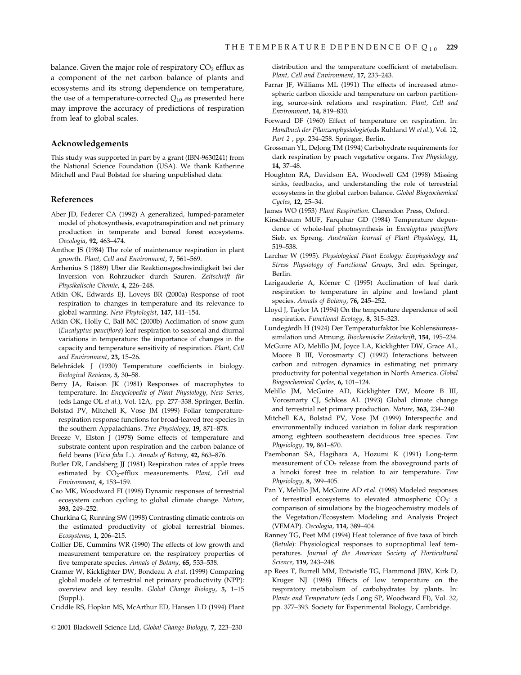balance. Given the major role of respiratory  $CO<sub>2</sub>$  efflux as a component of the net carbon balance of plants and ecosystems and its strong dependence on temperature, the use of a temperature-corrected  $Q_{10}$  as presented here may improve the accuracy of predictions of respiration from leaf to global scales.

### Acknowledgements

This study was supported in part by a grant (IBN-9630241) from the National Science Foundation (USA). We thank Katherine Mitchell and Paul Bolstad for sharing unpublished data.

#### References

- Aber JD, Federer CA (1992) A generalized, lumped-parameter model of photosynthesis, evapotranspiration and net primary production in temperate and boreal forest ecosystems. Oecologia, 92, 463-474.
- Amthor JS (1984) The role of maintenance respiration in plant growth. Plant, Cell and Environment, 7, 561-569.
- Arrhenius S (1889) Uber die Reaktionsgeschwindigkeit bei der Inversion von Rohrzucker durch Sauren. Zeitschrift für Physikalische Chemie, 4, 226-248.
- Atkin OK, Edwards EJ, Loveys BR (2000a) Response of root respiration to changes in temperature and its relevance to global warming. New Phytologist, 147, 141-154.
- Atkin OK, Holly C, Ball MC (2000b) Acclimation of snow gum (Eucalyptus pauciflora) leaf respiration to seasonal and diurnal variations in temperature: the importance of changes in the capacity and temperature sensitivity of respiration. Plant, Cell and Environment, 23, 15-26.
- Belehrádek J (1930) Temperature coefficients in biology. Biological Reviews, 5, 30-58.
- Berry JA, Raison JK (1981) Responses of macrophytes to temperature. In: Encyclopedia of Plant Physiology, New Series, (eds Lange OL et al.), Vol. 12A, pp. 277-338. Springer, Berlin.
- Bolstad PV, Mitchell K, Vose JM (1999) Foliar temperaturerespiration response functions for broad-leaved tree species in the southern Appalachians. Tree Physiology, 19, 871-878.
- Breeze V, Elston J (1978) Some effects of temperature and substrate content upon respiration and the carbon balance of field beans (Vicia faba L.). Annals of Botany, 42, 863-876.
- Butler DR, Landsberg JJ (1981) Respiration rates of apple trees estimated by CO<sub>2</sub>-efflux measurements. Plant, Cell and Environment, 4, 153-159.
- Cao MK, Woodward FI (1998) Dynamic responses of terrestrial ecosystem carbon cycling to global climate change. Nature, 393, 249-252.
- Churkina G, Running SW (1998) Contrasting climatic controls on the estimated productivity of global terrestrial biomes. Ecosystems, 1, 206-215.
- Collier DE, Cummins WR (1990) The effects of low growth and measurement temperature on the respiratory properties of five temperate species. Annals of Botany, 65, 533-538.
- Cramer W, Kicklighter DW, Bondeau A et al. (1999) Comparing global models of terrestrial net primary productivity (NPP): overview and key results. Global Change Biology, 5, 1-15 (Suppl.).
- Criddle RS, Hopkin MS, McArthur ED, Hansen LD (1994) Plant
- © 2001 Blackwell Science Ltd, Global Change Biology, 7, 223-230

distribution and the temperature coefficient of metabolism. Plant, Cell and Environment, 17, 233-243.

- Farrar JF, Williams ML (1991) The effects of increased atmospheric carbon dioxide and temperature on carbon partitioning, source-sink relations and respiration. Plant, Cell and Environment, 14, 819-830.
- Forward DF (1960) Effect of temperature on respiration. In: Handbuch der Pflanzenphysiologie(eds Ruhland W et al.), Vol. 12, Part 2, pp. 234-258. Springer, Berlin.
- Grossman YL, DeJong TM (1994) Carbohydrate requirements for dark respiration by peach vegetative organs. Tree Physiology, 14, 37-48.
- Houghton RA, Davidson EA, Woodwell GM (1998) Missing sinks, feedbacks, and understanding the role of terrestrial ecosystems in the global carbon balance. Global Biogeochemical Cycles, 12, 25-34.
- James WO (1953) Plant Respiration. Clarendon Press, Oxford.
- Kirschbaum MUF, Farquhar GD (1984) Temperature dependence of whole-leaf photosynthesis in Eucalyptus pauciflora Sieb. ex Spreng. Australian Journal of Plant Physiology, 11, 519±538.
- Larcher W (1995). Physiological Plant Ecology: Ecophysiology and Stress Physiology of Functional Groups, 3rd edn. Springer, Berlin.
- Larigauderie A, Körner C (1995) Acclimation of leaf dark respiration to temperature in alpine and lowland plant species. Annals of Botany, 76, 245-252.
- Lloyd J, Taylor JA (1994) On the temperature dependence of soil respiration. Functional Ecology, 8, 315-323.
- Lundegårdh H (1924) Der Temperaturfaktor bie Kohlensäureassimilation und Atmung. Biochemische Zeitschrift, 154, 195-234.
- McGuire AD, Melillo JM, Joyce LA, Kicklighter DW, Grace AL, Moore B III, Vorosmarty CJ (1992) Interactions between carbon and nitrogen dynamics in estimating net primary productivity for potential vegetation in North America. Global Biogeochemical Cycles, 6, 101-124.
- Melillo JM, McGuire AD, Kicklighter DW, Moore B III, Vorosmarty CJ, Schloss AL (1993) Global climate change and terrestrial net primary production. Nature, 363, 234-240.
- Mitchell KA, Bolstad PV, Vose JM (1999) Interspecific and environmentally induced variation in foliar dark respiration among eighteen southeastern deciduous tree species. Tree Physiology, 19, 861-870.
- Paembonan SA, Hagihara A, Hozumi K (1991) Long-term measurement of  $CO<sub>2</sub>$  release from the aboveground parts of a hinoki forest tree in relation to air temperature. Tree Physiology, 8, 399-405.
- Pan Y, Melillo JM, McGuire AD et al. (1998) Modeled responses of terrestrial ecosystems to elevated atmospheric CO<sub>2</sub>: a comparison of simulations by the biogeochemistry models of the Vegetation/Ecosystem Modeling and Analysis Project (VEMAP). Oecologia, 114, 389-404.
- Ranney TG, Peet MM (1994) Heat tolerance of five taxa of birch (Betula): Physiological responses to supraoptimal leaf temperatures. Journal of the American Society of Horticultural Science, 119, 243-248.
- ap Rees T, Burrell MM, Entwistle TG, Hammond JBW, Kirk D, Kruger NJ (1988) Effects of low temperature on the respiratory metabolism of carbohydrates by plants. In: Plants and Temperature (eds Long SP, Woodward FI), Vol. 32, pp. 377-393. Society for Experimental Biology, Cambridge.